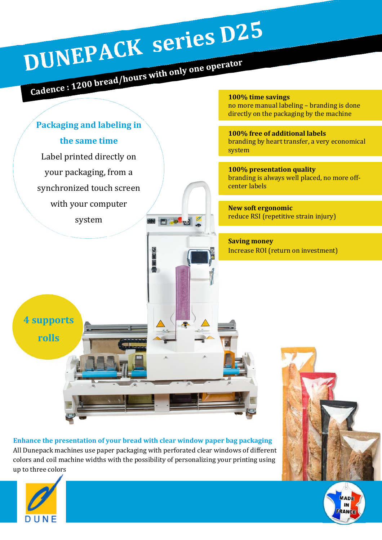

Enhance the presentation of your bread with clear window paper bag packaging All Dunepack machines use paper packaging with perforated clear windows of different colors and coil machine widths with the possibility of personalizing your printing using up to three colors